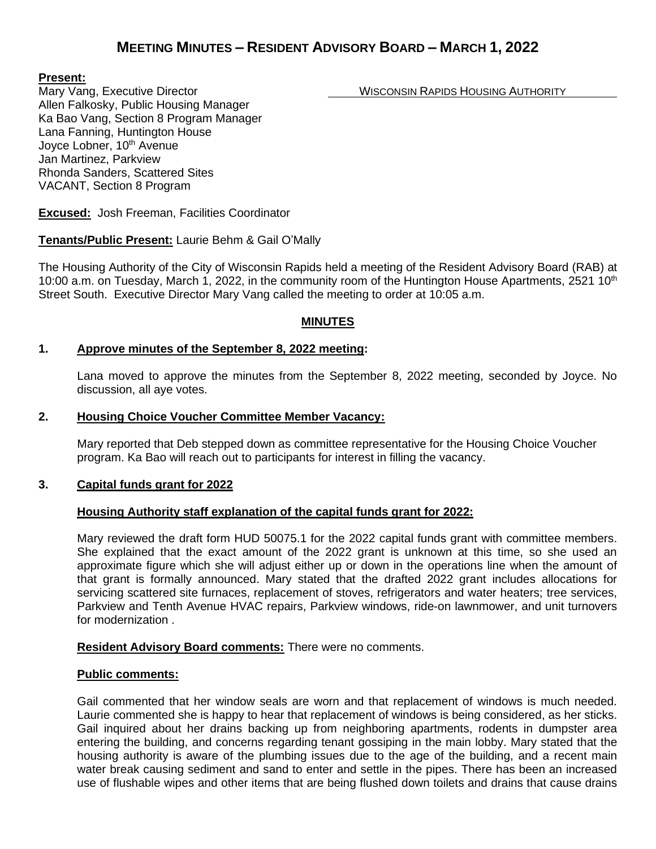# **MEETING MINUTES – RESIDENT ADVISORY BOARD – MARCH 1, 2022**

#### **Present:**

Mary Vang, Executive Director Network Construction Construction WISCONSIN RAPIDS HOUSING AUTHORITY

Allen Falkosky, Public Housing Manager Ka Bao Vang, Section 8 Program Manager Lana Fanning, Huntington House Joyce Lobner, 10<sup>th</sup> Avenue Jan Martinez, Parkview Rhonda Sanders, Scattered Sites VACANT, Section 8 Program

**Excused:** Josh Freeman, Facilities Coordinator

# **Tenants/Public Present:** Laurie Behm & Gail O'Mally

The Housing Authority of the City of Wisconsin Rapids held a meeting of the Resident Advisory Board (RAB) at 10:00 a.m. on Tuesday, March 1, 2022, in the community room of the Huntington House Apartments, 2521 10<sup>th</sup> Street South. Executive Director Mary Vang called the meeting to order at 10:05 a.m.

## **MINUTES**

## **1. Approve minutes of the September 8, 2022 meeting:**

Lana moved to approve the minutes from the September 8, 2022 meeting, seconded by Joyce. No discussion, all aye votes.

#### **2. Housing Choice Voucher Committee Member Vacancy:**

Mary reported that Deb stepped down as committee representative for the Housing Choice Voucher program. Ka Bao will reach out to participants for interest in filling the vacancy.

#### **3. Capital funds grant for 2022**

#### **Housing Authority staff explanation of the capital funds grant for 2022:**

Mary reviewed the draft form HUD 50075.1 for the 2022 capital funds grant with committee members. She explained that the exact amount of the 2022 grant is unknown at this time, so she used an approximate figure which she will adjust either up or down in the operations line when the amount of that grant is formally announced. Mary stated that the drafted 2022 grant includes allocations for servicing scattered site furnaces, replacement of stoves, refrigerators and water heaters; tree services, Parkview and Tenth Avenue HVAC repairs, Parkview windows, ride-on lawnmower, and unit turnovers for modernization .

#### **Resident Advisory Board comments:** There were no comments.

#### **Public comments:**

Gail commented that her window seals are worn and that replacement of windows is much needed. Laurie commented she is happy to hear that replacement of windows is being considered, as her sticks. Gail inquired about her drains backing up from neighboring apartments, rodents in dumpster area entering the building, and concerns regarding tenant gossiping in the main lobby. Mary stated that the housing authority is aware of the plumbing issues due to the age of the building, and a recent main water break causing sediment and sand to enter and settle in the pipes. There has been an increased use of flushable wipes and other items that are being flushed down toilets and drains that cause drains